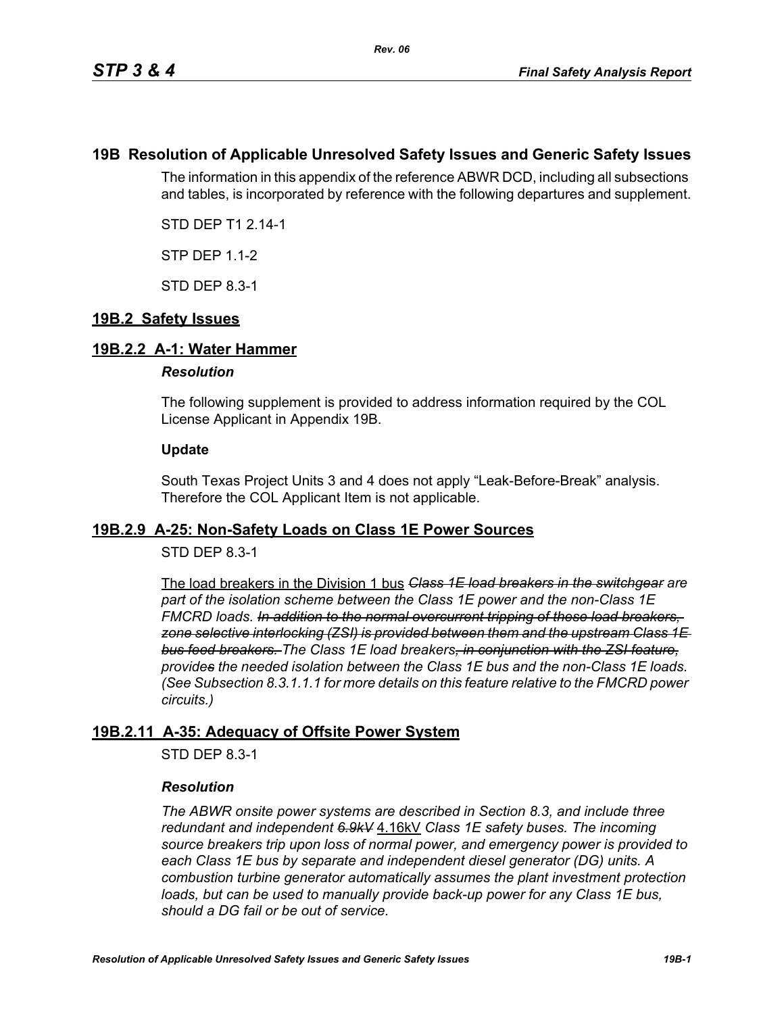## **19B Resolution of Applicable Unresolved Safety Issues and Generic Safety Issues**

The information in this appendix of the reference ABWR DCD, including all subsections and tables, is incorporated by reference with the following departures and supplement.

STD DEP T1 2.14-1

STP DEP 1.1-2

STD DEP 8.3-1

## **19B.2 Safety Issues**

## **19B.2.2 A-1: Water Hammer**

### *Resolution*

The following supplement is provided to address information required by the COL License Applicant in Appendix 19B.

### **Update**

South Texas Project Units 3 and 4 does not apply "Leak-Before-Break" analysis. Therefore the COL Applicant Item is not applicable.

## **19B.2.9 A-25: Non-Safety Loads on Class 1E Power Sources**

## STD DEP 8.3-1

The load breakers in the Division 1 bus *Class 1E load breakers in the switchgear are part of the isolation scheme between the Class 1E power and the non-Class 1E FMCRD loads. In addition to the normal overcurrent tripping of these load breakers, zone selective interlocking (ZSI) is provided between them and the upstream Class 1E bus feed breakers. The Class 1E load breakers, in conjunction with the ZSI feature, provides the needed isolation between the Class 1E bus and the non-Class 1E loads. (See Subsection 8.3.1.1.1 for more details on this feature relative to the FMCRD power circuits.)*

## **19B.2.11 A-35: Adequacy of Offsite Power System**

STD DEP 8.3-1

## *Resolution*

*The ABWR onsite power systems are described in Section 8.3, and include three redundant and independent 6.9kV* 4.16kV *Class 1E safety buses. The incoming source breakers trip upon loss of normal power, and emergency power is provided to each Class 1E bus by separate and independent diesel generator (DG) units. A combustion turbine generator automatically assumes the plant investment protection*  loads, but can be used to manually provide back-up power for any Class 1E bus, *should a DG fail or be out of service.*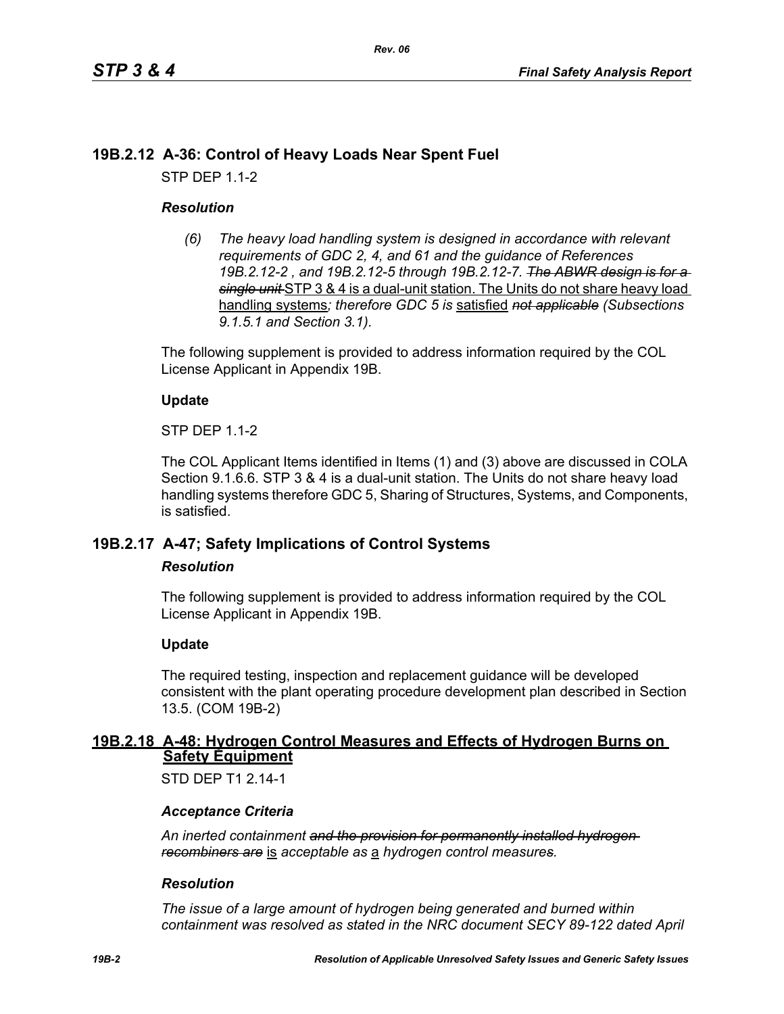# **19B.2.12 A-36: Control of Heavy Loads Near Spent Fuel**

STP DEP 1.1-2

## *Resolution*

*(6) The heavy load handling system is designed in accordance with relevant requirements of GDC 2, 4, and 61 and the guidance of References 19B.2.12-2 , and 19B.2.12-5 through 19B.2.12-7. The ABWR design is for a single unit* STP 3 & 4 is a dual-unit station. The Units do not share heavy load handling systems*; therefore GDC 5 is* satisfied *not applicable (Subsections 9.1.5.1 and Section 3.1).*

The following supplement is provided to address information required by the COL License Applicant in Appendix 19B.

## **Update**

STP DEP 1.1-2

The COL Applicant Items identified in Items (1) and (3) above are discussed in COLA Section 9.1.6.6. STP 3 & 4 is a dual-unit station. The Units do not share heavy load handling systems therefore GDC 5, Sharing of Structures, Systems, and Components, is satisfied.

# **19B.2.17 A-47; Safety Implications of Control Systems**

### *Resolution*

The following supplement is provided to address information required by the COL License Applicant in Appendix 19B.

## **Update**

The required testing, inspection and replacement guidance will be developed consistent with the plant operating procedure development plan described in Section 13.5. (COM 19B-2)

## **19B.2.18 A-48: Hydrogen Control Measures and Effects of Hydrogen Burns on Safety Equipment**

STD DFP T1 2 14-1

## *Acceptance Criteria*

*An inerted containment and the provision for permanently installed hydrogen recombiners are* is *acceptable as* a *hydrogen control measures.*

### *Resolution*

*The issue of a large amount of hydrogen being generated and burned within containment was resolved as stated in the NRC document SECY 89-122 dated April*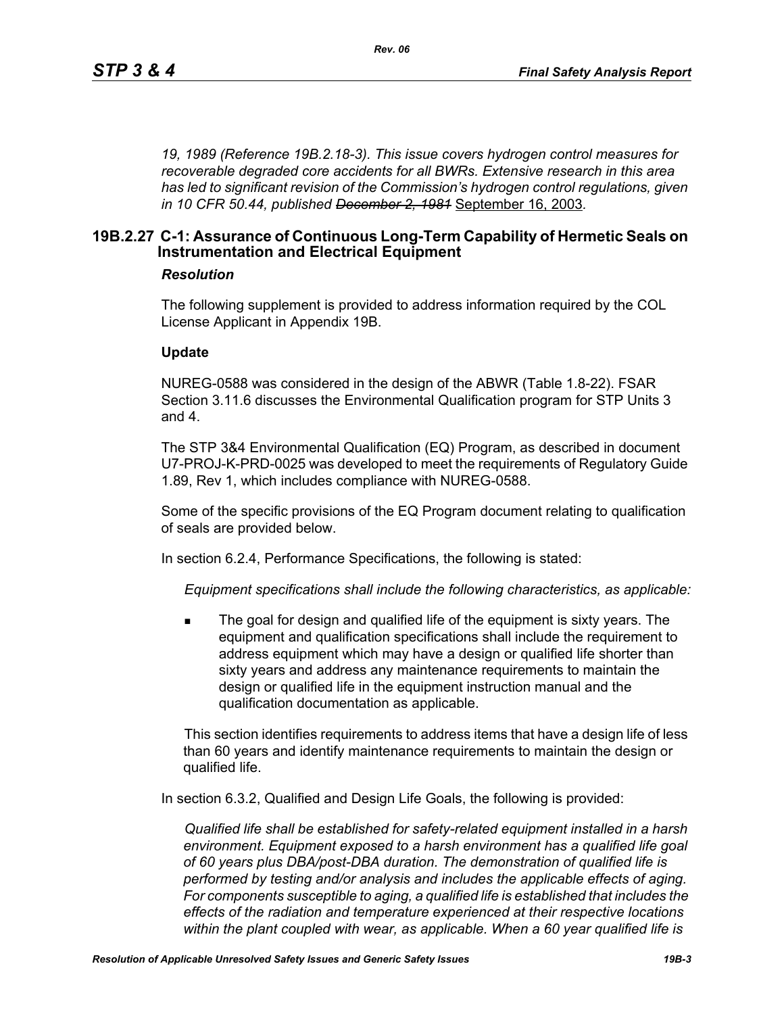*19, 1989 (Reference 19B.2.18-3). This issue covers hydrogen control measures for recoverable degraded core accidents for all BWRs. Extensive research in this area has led to significant revision of the Commission's hydrogen control regulations, given in 10 CFR 50.44, published December 2, 1981* September 16, 2003*.*

## **19B.2.27 C-1: Assurance of Continuous Long-Term Capability of Hermetic Seals on Instrumentation and Electrical Equipment**

### *Resolution*

The following supplement is provided to address information required by the COL License Applicant in Appendix 19B.

#### **Update**

NUREG-0588 was considered in the design of the ABWR (Table 1.8-22). FSAR Section 3.11.6 discusses the Environmental Qualification program for STP Units 3 and 4.

The STP 3&4 Environmental Qualification (EQ) Program, as described in document U7-PROJ-K-PRD-0025 was developed to meet the requirements of Regulatory Guide 1.89, Rev 1, which includes compliance with NUREG-0588.

Some of the specific provisions of the EQ Program document relating to qualification of seals are provided below.

In section 6.2.4, Performance Specifications, the following is stated:

*Equipment specifications shall include the following characteristics, as applicable:*

 The goal for design and qualified life of the equipment is sixty years. The equipment and qualification specifications shall include the requirement to address equipment which may have a design or qualified life shorter than sixty years and address any maintenance requirements to maintain the design or qualified life in the equipment instruction manual and the qualification documentation as applicable.

This section identifies requirements to address items that have a design life of less than 60 years and identify maintenance requirements to maintain the design or qualified life.

In section 6.3.2, Qualified and Design Life Goals, the following is provided:

*Qualified life shall be established for safety-related equipment installed in a harsh environment. Equipment exposed to a harsh environment has a qualified life goal of 60 years plus DBA/post-DBA duration. The demonstration of qualified life is performed by testing and/or analysis and includes the applicable effects of aging. For components susceptible to aging, a qualified life is established that includes the effects of the radiation and temperature experienced at their respective locations within the plant coupled with wear, as applicable. When a 60 year qualified life is*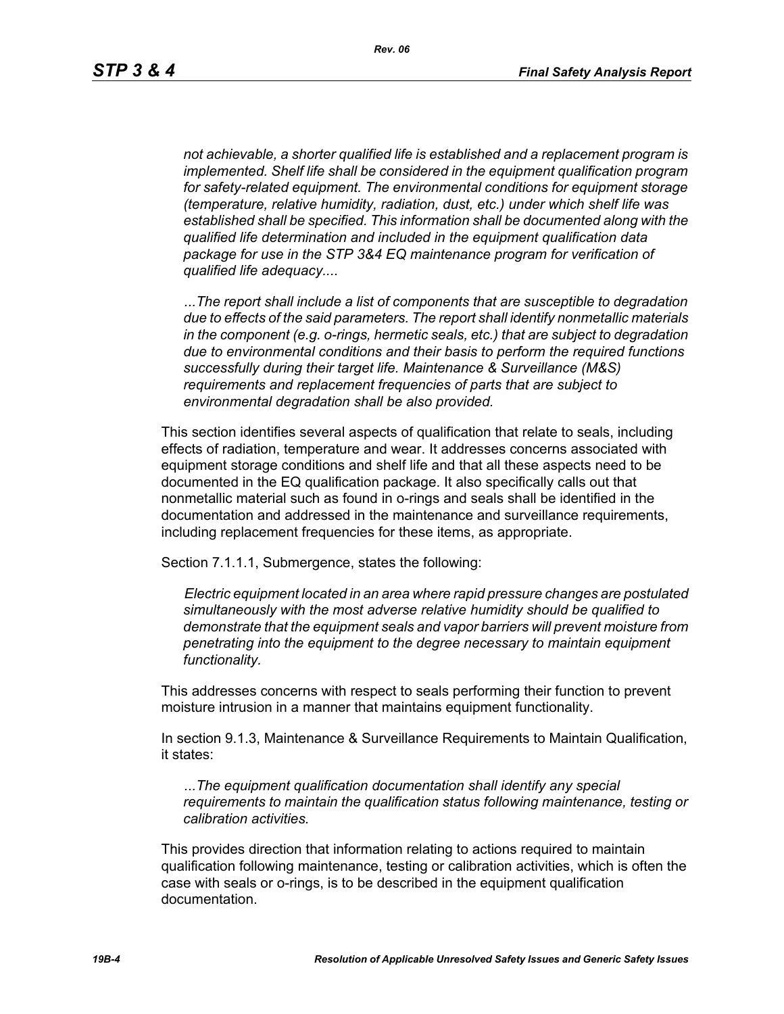*not achievable, a shorter qualified life is established and a replacement program is implemented. Shelf life shall be considered in the equipment qualification program for safety-related equipment. The environmental conditions for equipment storage (temperature, relative humidity, radiation, dust, etc.) under which shelf life was established shall be specified. This information shall be documented along with the qualified life determination and included in the equipment qualification data package for use in the STP 3&4 EQ maintenance program for verification of qualified life adequacy....*

*...The report shall include a list of components that are susceptible to degradation due to effects of the said parameters. The report shall identify nonmetallic materials in the component (e.g. o-rings, hermetic seals, etc.) that are subject to degradation due to environmental conditions and their basis to perform the required functions successfully during their target life. Maintenance & Surveillance (M&S) requirements and replacement frequencies of parts that are subject to environmental degradation shall be also provided.*

This section identifies several aspects of qualification that relate to seals, including effects of radiation, temperature and wear. It addresses concerns associated with equipment storage conditions and shelf life and that all these aspects need to be documented in the EQ qualification package. It also specifically calls out that nonmetallic material such as found in o-rings and seals shall be identified in the documentation and addressed in the maintenance and surveillance requirements, including replacement frequencies for these items, as appropriate.

Section 7.1.1.1, Submergence, states the following:

*Electric equipment located in an area where rapid pressure changes are postulated simultaneously with the most adverse relative humidity should be qualified to demonstrate that the equipment seals and vapor barriers will prevent moisture from penetrating into the equipment to the degree necessary to maintain equipment functionality.*

This addresses concerns with respect to seals performing their function to prevent moisture intrusion in a manner that maintains equipment functionality.

In section 9.1.3, Maintenance & Surveillance Requirements to Maintain Qualification, it states:

*...The equipment qualification documentation shall identify any special requirements to maintain the qualification status following maintenance, testing or calibration activities.*

This provides direction that information relating to actions required to maintain qualification following maintenance, testing or calibration activities, which is often the case with seals or o-rings, is to be described in the equipment qualification documentation.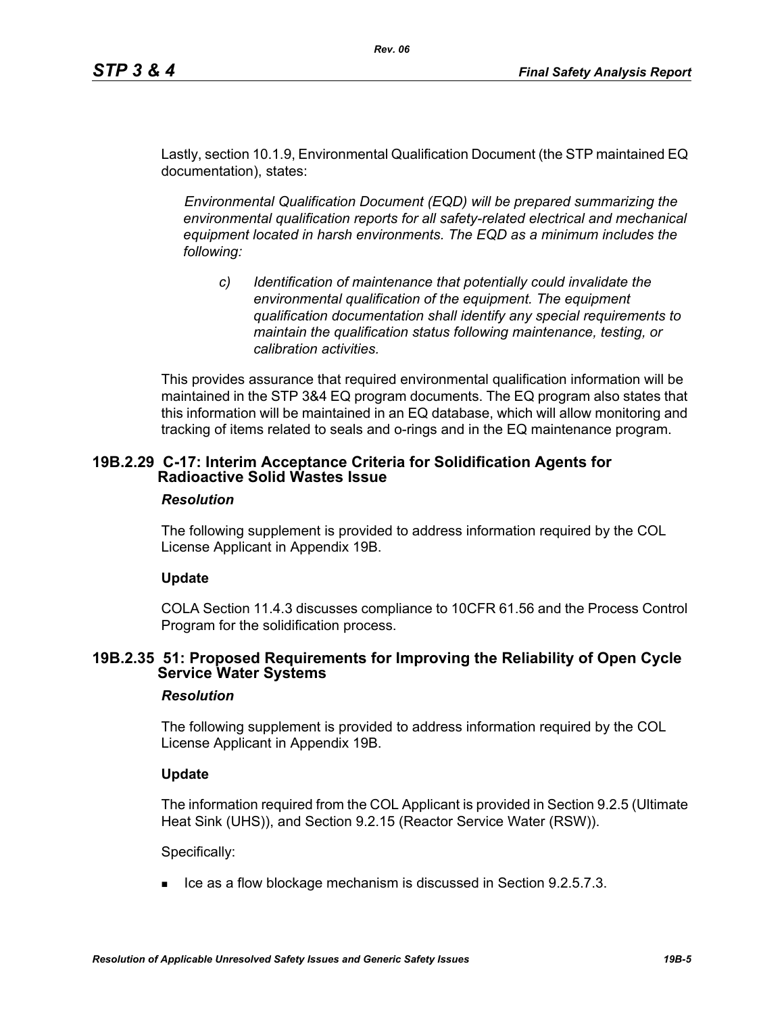Lastly, section 10.1.9, Environmental Qualification Document (the STP maintained EQ documentation), states:

*Rev. 06*

*Environmental Qualification Document (EQD) will be prepared summarizing the environmental qualification reports for all safety-related electrical and mechanical equipment located in harsh environments. The EQD as a minimum includes the following:*

*c) Identification of maintenance that potentially could invalidate the environmental qualification of the equipment. The equipment qualification documentation shall identify any special requirements to maintain the qualification status following maintenance, testing, or calibration activities.*

This provides assurance that required environmental qualification information will be maintained in the STP 3&4 EQ program documents. The EQ program also states that this information will be maintained in an EQ database, which will allow monitoring and tracking of items related to seals and o-rings and in the EQ maintenance program.

## **19B.2.29 C-17: Interim Acceptance Criteria for Solidification Agents for Radioactive Solid Wastes Issue**

### *Resolution*

The following supplement is provided to address information required by the COL License Applicant in Appendix 19B.

## **Update**

COLA Section 11.4.3 discusses compliance to 10CFR 61.56 and the Process Control Program for the solidification process.

## **19B.2.35 51: Proposed Requirements for Improving the Reliability of Open Cycle Service Water Systems**

### *Resolution*

The following supplement is provided to address information required by the COL License Applicant in Appendix 19B.

### **Update**

The information required from the COL Applicant is provided in Section 9.2.5 (Ultimate Heat Sink (UHS)), and Section 9.2.15 (Reactor Service Water (RSW)).

Specifically:

 $\blacksquare$  Ice as a flow blockage mechanism is discussed in Section 9.2.5.7.3.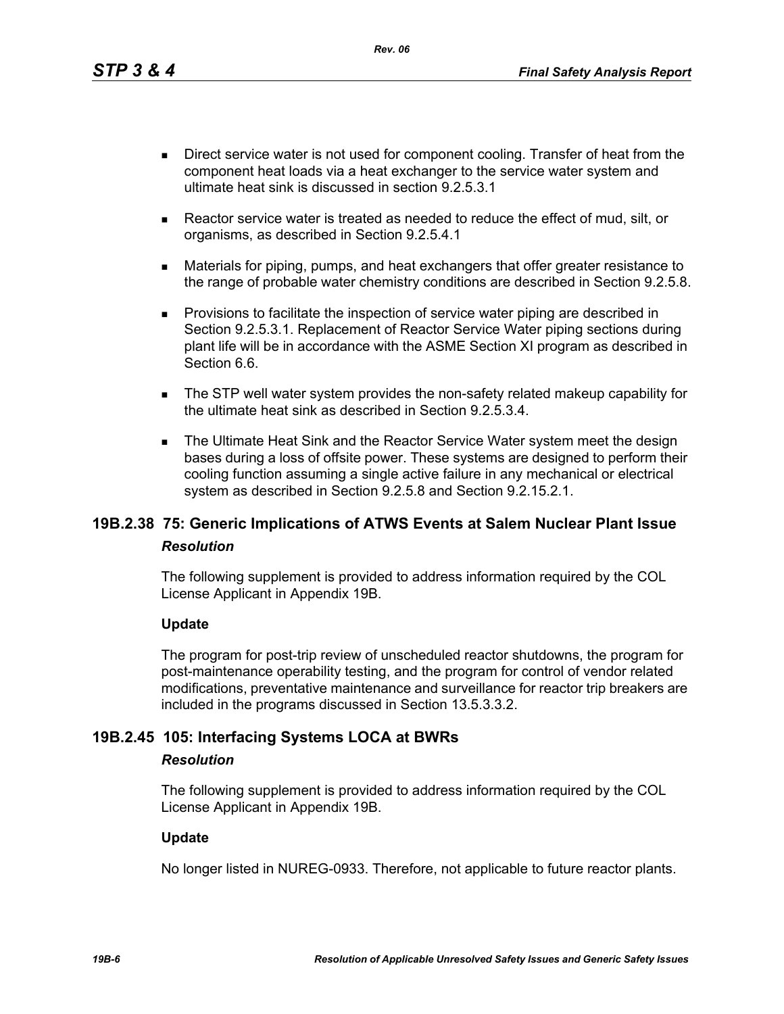*Rev. 06*

- Direct service water is not used for component cooling. Transfer of heat from the component heat loads via a heat exchanger to the service water system and ultimate heat sink is discussed in section 9.2.5.3.1
- Reactor service water is treated as needed to reduce the effect of mud, silt, or organisms, as described in Section 9.2.5.4.1
- Materials for piping, pumps, and heat exchangers that offer greater resistance to the range of probable water chemistry conditions are described in Section 9.2.5.8.
- **Provisions to facilitate the inspection of service water piping are described in** Section 9.2.5.3.1. Replacement of Reactor Service Water piping sections during plant life will be in accordance with the ASME Section XI program as described in Section 6.6.
- The STP well water system provides the non-safety related makeup capability for the ultimate heat sink as described in Section 9.2.5.3.4.
- The Ultimate Heat Sink and the Reactor Service Water system meet the design bases during a loss of offsite power. These systems are designed to perform their cooling function assuming a single active failure in any mechanical or electrical system as described in Section 9.2.5.8 and Section 9.2.15.2.1.

# **19B.2.38 75: Generic Implications of ATWS Events at Salem Nuclear Plant Issue** *Resolution*

The following supplement is provided to address information required by the COL License Applicant in Appendix 19B.

## **Update**

The program for post-trip review of unscheduled reactor shutdowns, the program for post-maintenance operability testing, and the program for control of vendor related modifications, preventative maintenance and surveillance for reactor trip breakers are included in the programs discussed in Section 13.5.3.3.2.

# **19B.2.45 105: Interfacing Systems LOCA at BWRs**

### *Resolution*

The following supplement is provided to address information required by the COL License Applicant in Appendix 19B.

### **Update**

No longer listed in NUREG-0933. Therefore, not applicable to future reactor plants.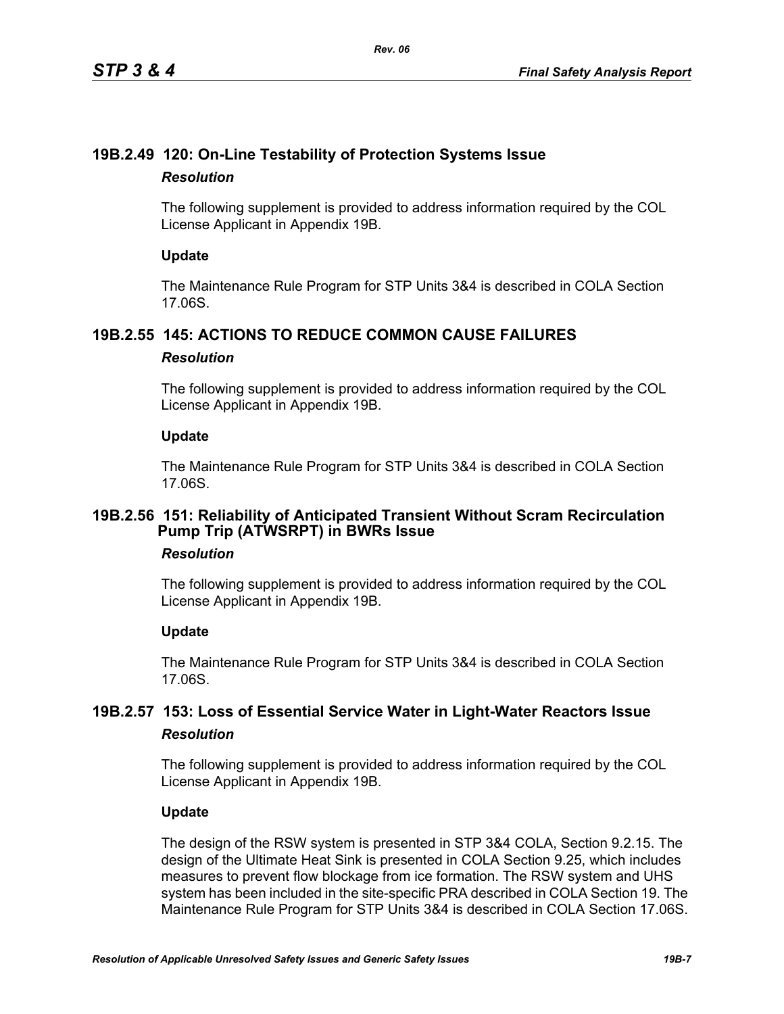# **19B.2.49 120: On-Line Testability of Protection Systems Issue** *Resolution*

The following supplement is provided to address information required by the COL License Applicant in Appendix 19B.

## **Update**

The Maintenance Rule Program for STP Units 3&4 is described in COLA Section 17.06S.

# **19B.2.55 145: ACTIONS TO REDUCE COMMON CAUSE FAILURES**

## *Resolution*

The following supplement is provided to address information required by the COL License Applicant in Appendix 19B.

## **Update**

The Maintenance Rule Program for STP Units 3&4 is described in COLA Section 17.06S.

## **19B.2.56 151: Reliability of Anticipated Transient Without Scram Recirculation Pump Trip (ATWSRPT) in BWRs Issue**

## *Resolution*

The following supplement is provided to address information required by the COL License Applicant in Appendix 19B.

## **Update**

The Maintenance Rule Program for STP Units 3&4 is described in COLA Section 17.06S.

# **19B.2.57 153: Loss of Essential Service Water in Light-Water Reactors Issue** *Resolution*

The following supplement is provided to address information required by the COL License Applicant in Appendix 19B.

## **Update**

The design of the RSW system is presented in STP 3&4 COLA, Section 9.2.15. The design of the Ultimate Heat Sink is presented in COLA Section 9.25, which includes measures to prevent flow blockage from ice formation. The RSW system and UHS system has been included in the site-specific PRA described in COLA Section 19. The Maintenance Rule Program for STP Units 3&4 is described in COLA Section 17.06S.